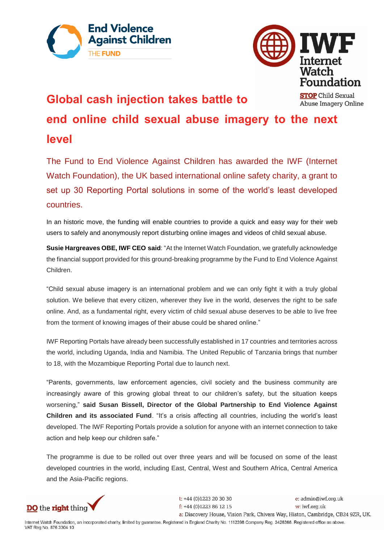



Abuse Imagery Online

## **Global cash injection takes battle to**

**end online child sexual abuse imagery to the next level**

The Fund to End Violence Against Children has awarded the IWF (Internet Watch Foundation), the UK based international online safety charity, a grant to set up 30 Reporting Portal solutions in some of the world's least developed countries.

In an historic move, the funding will enable countries to provide a quick and easy way for their web users to safely and anonymously report disturbing online images and videos of child sexual abuse.

**Susie Hargreaves OBE, IWF CEO said**: "At the Internet Watch Foundation, we gratefully acknowledge the financial support provided for this ground-breaking programme by the Fund to End Violence Against Children.

"Child sexual abuse imagery is an international problem and we can only fight it with a truly global solution. We believe that every citizen, wherever they live in the world, deserves the right to be safe online. And, as a fundamental right, every victim of child sexual abuse deserves to be able to live free from the torment of knowing images of their abuse could be shared online."

IWF Reporting Portals have already been successfully established in 17 countries and territories across the world, including Uganda, India and Namibia. The United Republic of Tanzania brings that number to 18, with the Mozambique Reporting Portal due to launch next.

"Parents, governments, law enforcement agencies, civil society and the business community are increasingly aware of this growing global threat to our children's safety, but the situation keeps worsening," **said Susan Bissell, Director of the Global Partnership to End Violence Against Children and its associated Fund**. "It's a crisis affecting all countries, including the world's least developed. The IWF Reporting Portals provide a solution for anyone with an internet connection to take action and help keep our children safe."

The programme is due to be rolled out over three years and will be focused on some of the least developed countries in the world, including East, Central, West and Southern Africa, Central America and the Asia-Pacific regions.



 $t$ : +44 (0)1223 20 30 30 e: admin@iwf.org.uk  $f$ : +44 (0)1223 86 12 15 w: iwf.org.uk a: Discovery House, Vision Park, Chivers Way, Histon, Cambridge, CB24 9ZR, UK.